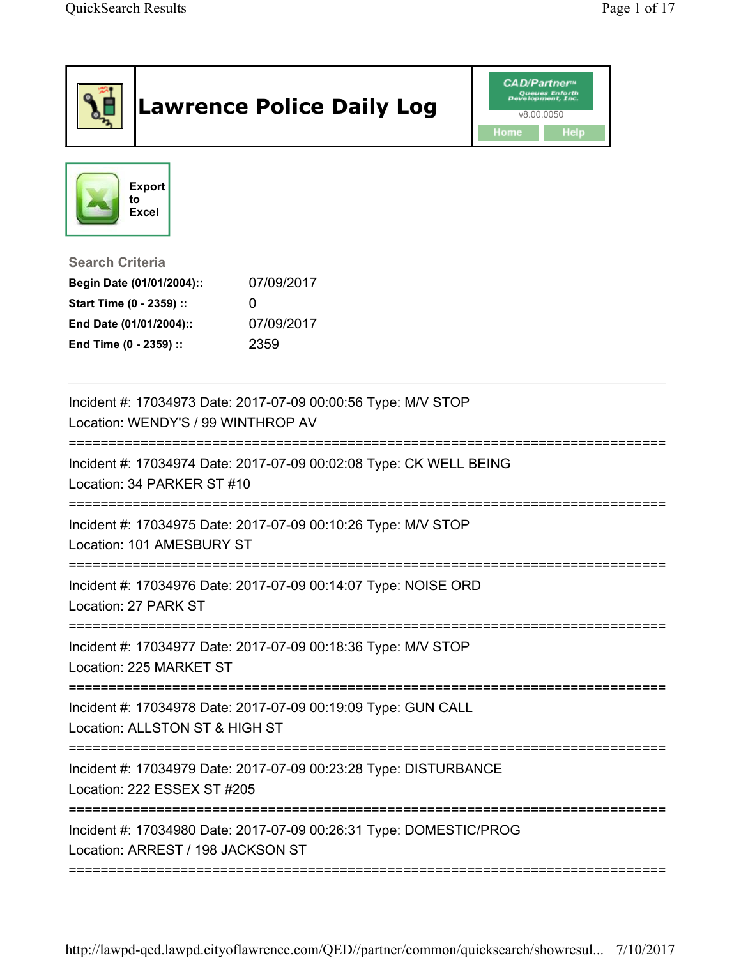|                                                                                                                                      | <b>Lawrence Police Daily Log</b>                                   | <b>CAD/Partner</b> "<br>Development, Inc.<br>v8.00.0050<br>Home<br>Help |
|--------------------------------------------------------------------------------------------------------------------------------------|--------------------------------------------------------------------|-------------------------------------------------------------------------|
| <b>Export</b><br>to<br><b>Excel</b>                                                                                                  |                                                                    |                                                                         |
| <b>Search Criteria</b><br>Begin Date (01/01/2004)::<br>Start Time (0 - 2359) ::<br>End Date (01/01/2004)::<br>End Time (0 - 2359) :: | 07/09/2017<br>O<br>07/09/2017<br>2359                              |                                                                         |
| Location: WENDY'S / 99 WINTHROP AV                                                                                                   | Incident #: 17034973 Date: 2017-07-09 00:00:56 Type: M/V STOP      |                                                                         |
| Location: 34 PARKER ST #10                                                                                                           | Incident #: 17034974 Date: 2017-07-09 00:02:08 Type: CK WELL BEING |                                                                         |
| Location: 101 AMESBURY ST                                                                                                            | Incident #: 17034975 Date: 2017-07-09 00:10:26 Type: M/V STOP      |                                                                         |
| Location: 27 PARK ST                                                                                                                 | Incident #: 17034976 Date: 2017-07-09 00:14:07 Type: NOISE ORD     |                                                                         |
| Location: 225 MARKET ST                                                                                                              | Incident #: 17034977 Date: 2017-07-09 00:18:36 Type: M/V STOP      |                                                                         |
| Location: ALLSTON ST & HIGH ST                                                                                                       | Incident #: 17034978 Date: 2017-07-09 00:19:09 Type: GUN CALL      |                                                                         |
| Location: 222 ESSEX ST #205                                                                                                          | Incident #: 17034979 Date: 2017-07-09 00:23:28 Type: DISTURBANCE   |                                                                         |
| Location: ARREST / 198 JACKSON ST                                                                                                    | Incident #: 17034980 Date: 2017-07-09 00:26:31 Type: DOMESTIC/PROG |                                                                         |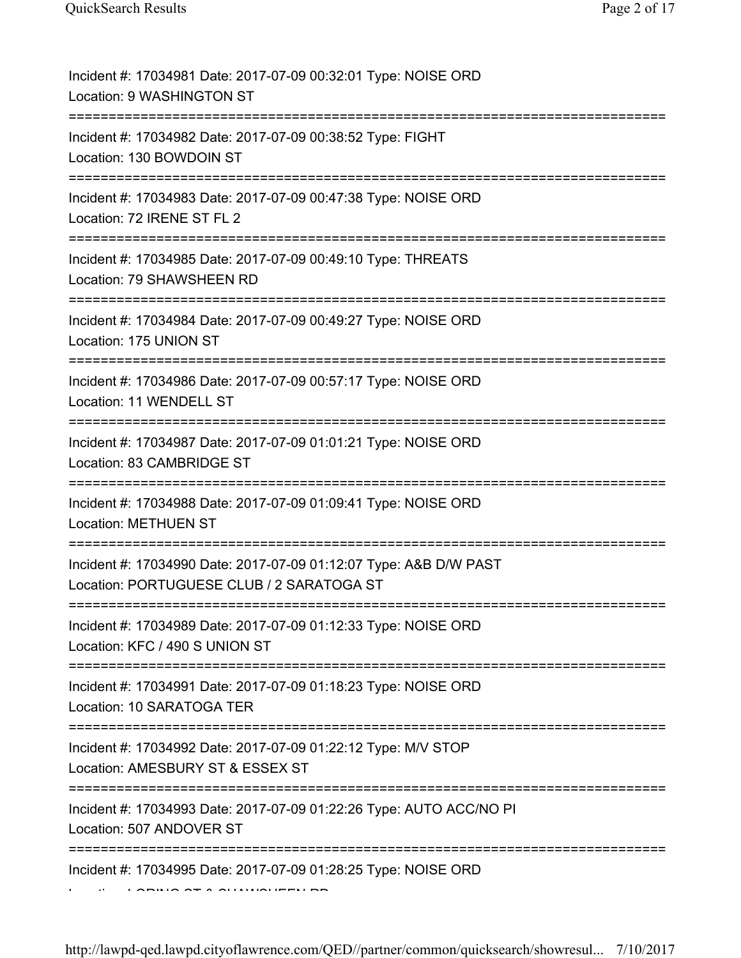| Incident #: 17034981 Date: 2017-07-09 00:32:01 Type: NOISE ORD<br>Location: 9 WASHINGTON ST                                   |
|-------------------------------------------------------------------------------------------------------------------------------|
| Incident #: 17034982 Date: 2017-07-09 00:38:52 Type: FIGHT<br>Location: 130 BOWDOIN ST                                        |
| Incident #: 17034983 Date: 2017-07-09 00:47:38 Type: NOISE ORD<br>Location: 72 IRENE ST FL 2                                  |
| Incident #: 17034985 Date: 2017-07-09 00:49:10 Type: THREATS<br>Location: 79 SHAWSHEEN RD                                     |
| Incident #: 17034984 Date: 2017-07-09 00:49:27 Type: NOISE ORD<br>Location: 175 UNION ST<br>:================================ |
| Incident #: 17034986 Date: 2017-07-09 00:57:17 Type: NOISE ORD<br>Location: 11 WENDELL ST                                     |
| Incident #: 17034987 Date: 2017-07-09 01:01:21 Type: NOISE ORD<br>Location: 83 CAMBRIDGE ST                                   |
| Incident #: 17034988 Date: 2017-07-09 01:09:41 Type: NOISE ORD<br><b>Location: METHUEN ST</b>                                 |
| Incident #: 17034990 Date: 2017-07-09 01:12:07 Type: A&B D/W PAST<br>Location: PORTUGUESE CLUB / 2 SARATOGA ST                |
| Incident #: 17034989 Date: 2017-07-09 01:12:33 Type: NOISE ORD<br>Location: KFC / 490 S UNION ST                              |
| Incident #: 17034991 Date: 2017-07-09 01:18:23 Type: NOISE ORD<br>Location: 10 SARATOGA TER                                   |
| Incident #: 17034992 Date: 2017-07-09 01:22:12 Type: M/V STOP<br>Location: AMESBURY ST & ESSEX ST                             |
| Incident #: 17034993 Date: 2017-07-09 01:22:26 Type: AUTO ACC/NO PI<br>Location: 507 ANDOVER ST                               |
| Incident #: 17034995 Date: 2017-07-09 01:28:25 Type: NOISE ORD                                                                |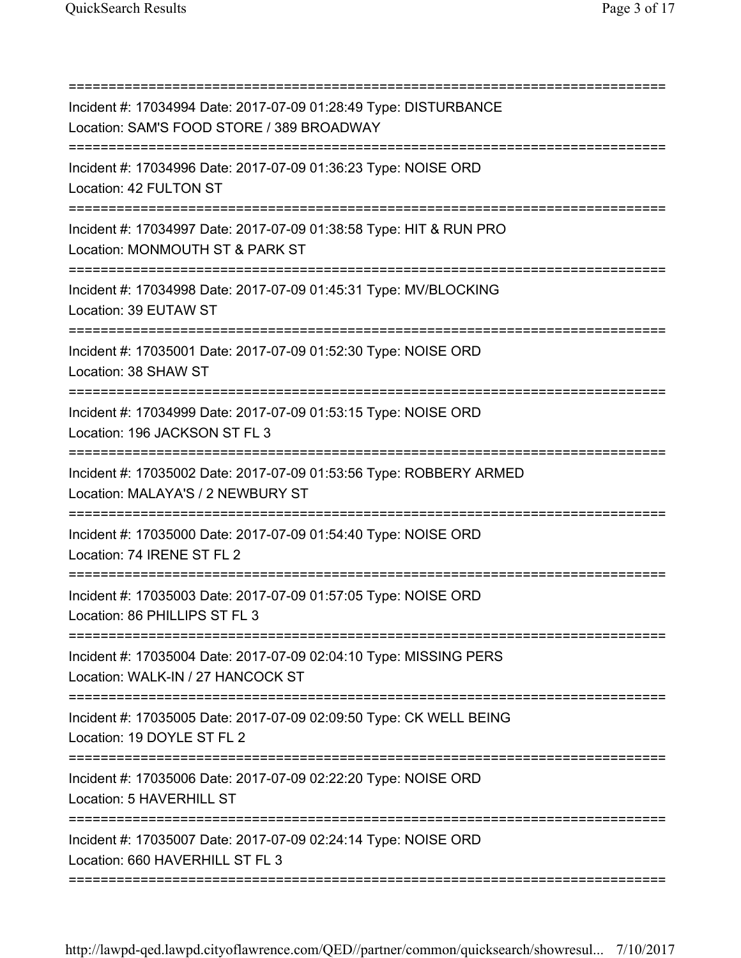| Incident #: 17034994 Date: 2017-07-09 01:28:49 Type: DISTURBANCE<br>Location: SAM'S FOOD STORE / 389 BROADWAY                          |
|----------------------------------------------------------------------------------------------------------------------------------------|
| Incident #: 17034996 Date: 2017-07-09 01:36:23 Type: NOISE ORD<br>Location: 42 FULTON ST                                               |
| Incident #: 17034997 Date: 2017-07-09 01:38:58 Type: HIT & RUN PRO<br>Location: MONMOUTH ST & PARK ST                                  |
| Incident #: 17034998 Date: 2017-07-09 01:45:31 Type: MV/BLOCKING<br>Location: 39 EUTAW ST                                              |
| Incident #: 17035001 Date: 2017-07-09 01:52:30 Type: NOISE ORD<br>Location: 38 SHAW ST                                                 |
| Incident #: 17034999 Date: 2017-07-09 01:53:15 Type: NOISE ORD<br>Location: 196 JACKSON ST FL 3                                        |
| Incident #: 17035002 Date: 2017-07-09 01:53:56 Type: ROBBERY ARMED<br>Location: MALAYA'S / 2 NEWBURY ST<br>=========                   |
| Incident #: 17035000 Date: 2017-07-09 01:54:40 Type: NOISE ORD<br>Location: 74 IRENE ST FL 2                                           |
| Incident #: 17035003 Date: 2017-07-09 01:57:05 Type: NOISE ORD<br>Location: 86 PHILLIPS ST FL 3<br>=================================== |
| ;===================<br>Incident #: 17035004 Date: 2017-07-09 02:04:10 Type: MISSING PERS<br>Location: WALK-IN / 27 HANCOCK ST         |
| Incident #: 17035005 Date: 2017-07-09 02:09:50 Type: CK WELL BEING<br>Location: 19 DOYLE ST FL 2                                       |
| Incident #: 17035006 Date: 2017-07-09 02:22:20 Type: NOISE ORD<br>Location: 5 HAVERHILL ST                                             |
| ===========================<br>Incident #: 17035007 Date: 2017-07-09 02:24:14 Type: NOISE ORD<br>Location: 660 HAVERHILL ST FL 3       |
|                                                                                                                                        |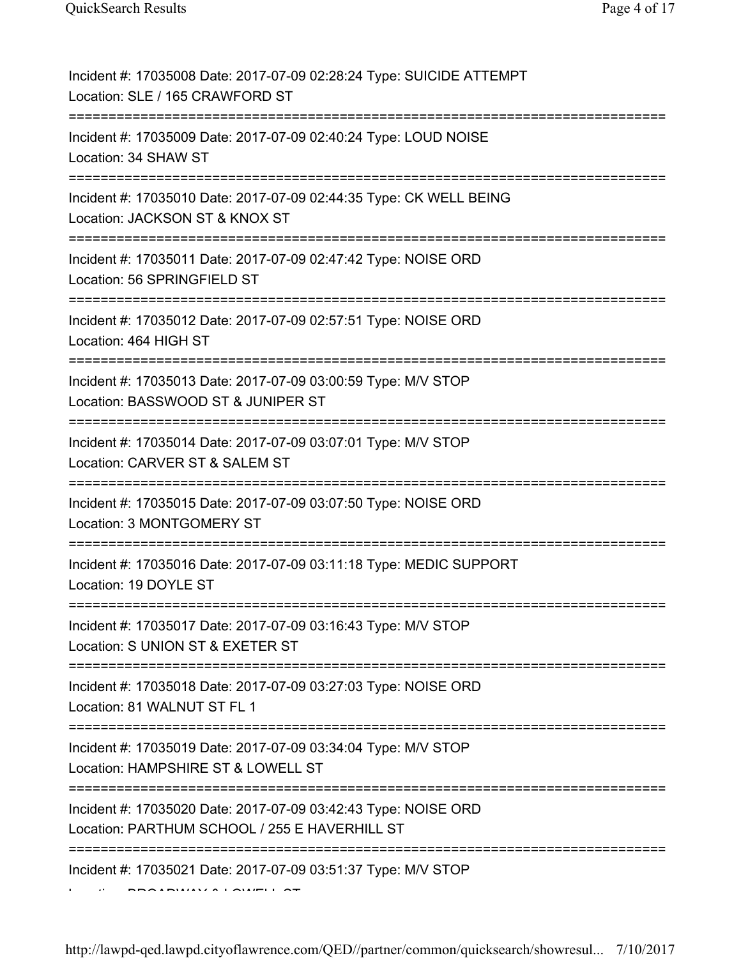| Incident #: 17035008 Date: 2017-07-09 02:28:24 Type: SUICIDE ATTEMPT<br>Location: SLE / 165 CRAWFORD ST                   |
|---------------------------------------------------------------------------------------------------------------------------|
| Incident #: 17035009 Date: 2017-07-09 02:40:24 Type: LOUD NOISE<br>Location: 34 SHAW ST                                   |
| Incident #: 17035010 Date: 2017-07-09 02:44:35 Type: CK WELL BEING<br>Location: JACKSON ST & KNOX ST                      |
| Incident #: 17035011 Date: 2017-07-09 02:47:42 Type: NOISE ORD<br>Location: 56 SPRINGFIELD ST                             |
| Incident #: 17035012 Date: 2017-07-09 02:57:51 Type: NOISE ORD<br>Location: 464 HIGH ST<br>============================== |
| Incident #: 17035013 Date: 2017-07-09 03:00:59 Type: M/V STOP<br>Location: BASSWOOD ST & JUNIPER ST                       |
| Incident #: 17035014 Date: 2017-07-09 03:07:01 Type: M/V STOP<br>Location: CARVER ST & SALEM ST                           |
| Incident #: 17035015 Date: 2017-07-09 03:07:50 Type: NOISE ORD<br>Location: 3 MONTGOMERY ST                               |
| Incident #: 17035016 Date: 2017-07-09 03:11:18 Type: MEDIC SUPPORT<br>Location: 19 DOYLE ST                               |
| Incident #: 17035017 Date: 2017-07-09 03:16:43 Type: M/V STOP<br>Location: S UNION ST & EXETER ST<br>===========          |
| Incident #: 17035018 Date: 2017-07-09 03:27:03 Type: NOISE ORD<br>Location: 81 WALNUT ST FL 1                             |
| Incident #: 17035019 Date: 2017-07-09 03:34:04 Type: M/V STOP<br>Location: HAMPSHIRE ST & LOWELL ST                       |
| Incident #: 17035020 Date: 2017-07-09 03:42:43 Type: NOISE ORD<br>Location: PARTHUM SCHOOL / 255 E HAVERHILL ST           |
| Incident #: 17035021 Date: 2017-07-09 03:51:37 Type: M/V STOP                                                             |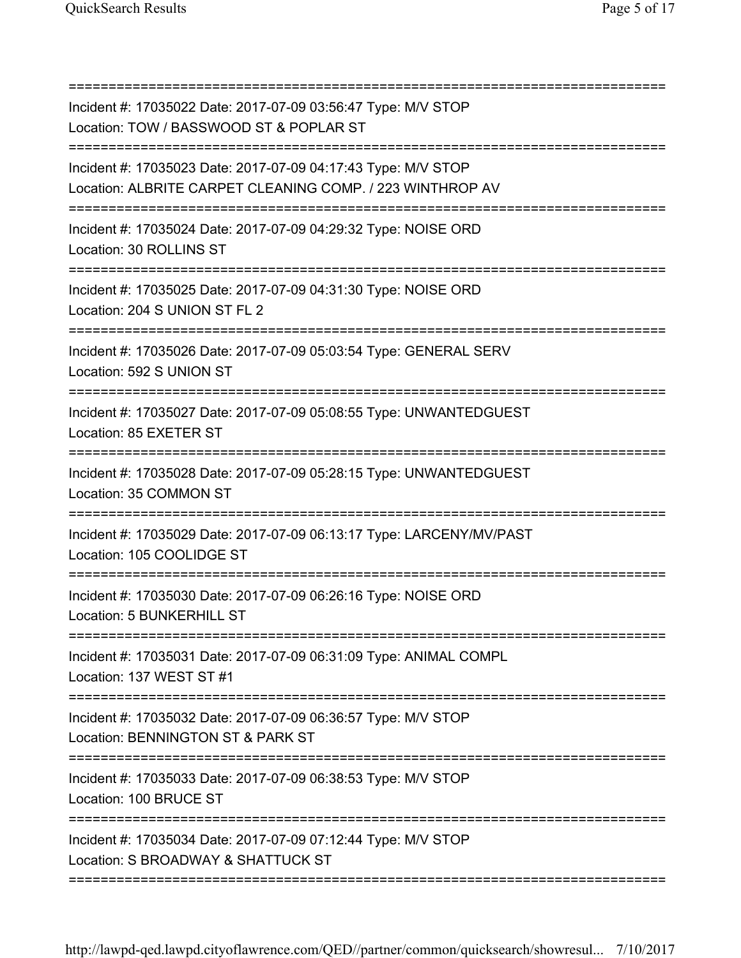| Incident #: 17035022 Date: 2017-07-09 03:56:47 Type: M/V STOP<br>Location: TOW / BASSWOOD ST & POPLAR ST                         |
|----------------------------------------------------------------------------------------------------------------------------------|
| Incident #: 17035023 Date: 2017-07-09 04:17:43 Type: M/V STOP<br>Location: ALBRITE CARPET CLEANING COMP. / 223 WINTHROP AV       |
| Incident #: 17035024 Date: 2017-07-09 04:29:32 Type: NOISE ORD<br>Location: 30 ROLLINS ST                                        |
| Incident #: 17035025 Date: 2017-07-09 04:31:30 Type: NOISE ORD<br>Location: 204 S UNION ST FL 2                                  |
| Incident #: 17035026 Date: 2017-07-09 05:03:54 Type: GENERAL SERV<br>Location: 592 S UNION ST                                    |
| Incident #: 17035027 Date: 2017-07-09 05:08:55 Type: UNWANTEDGUEST<br>Location: 85 EXETER ST                                     |
| Incident #: 17035028 Date: 2017-07-09 05:28:15 Type: UNWANTEDGUEST<br>Location: 35 COMMON ST                                     |
| Incident #: 17035029 Date: 2017-07-09 06:13:17 Type: LARCENY/MV/PAST<br>Location: 105 COOLIDGE ST                                |
| Incident #: 17035030 Date: 2017-07-09 06:26:16 Type: NOISE ORD<br>Location: 5 BUNKERHILL ST                                      |
| ===============================<br>Incident #: 17035031 Date: 2017-07-09 06:31:09 Type: ANIMAL COMPL<br>Location: 137 WEST ST #1 |
| Incident #: 17035032 Date: 2017-07-09 06:36:57 Type: M/V STOP<br>Location: BENNINGTON ST & PARK ST                               |
| Incident #: 17035033 Date: 2017-07-09 06:38:53 Type: M/V STOP<br>Location: 100 BRUCE ST                                          |
| Incident #: 17035034 Date: 2017-07-09 07:12:44 Type: M/V STOP<br>Location: S BROADWAY & SHATTUCK ST                              |
|                                                                                                                                  |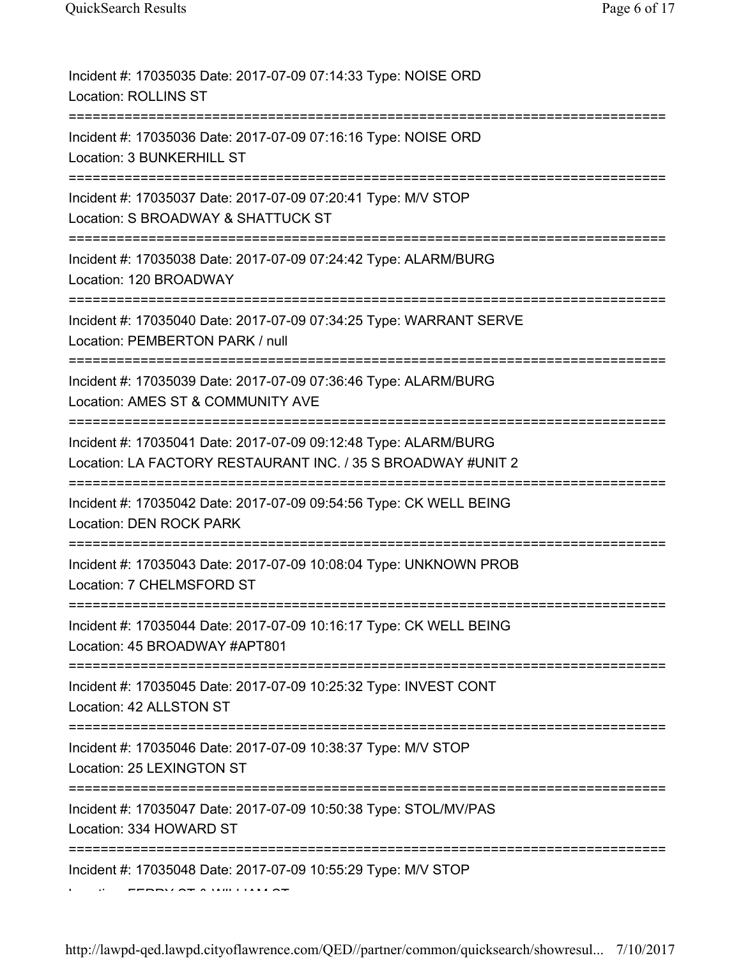| Incident #: 17035035 Date: 2017-07-09 07:14:33 Type: NOISE ORD<br><b>Location: ROLLINS ST</b>                                                |
|----------------------------------------------------------------------------------------------------------------------------------------------|
| Incident #: 17035036 Date: 2017-07-09 07:16:16 Type: NOISE ORD<br>Location: 3 BUNKERHILL ST                                                  |
| Incident #: 17035037 Date: 2017-07-09 07:20:41 Type: M/V STOP<br>Location: S BROADWAY & SHATTUCK ST                                          |
| Incident #: 17035038 Date: 2017-07-09 07:24:42 Type: ALARM/BURG<br>Location: 120 BROADWAY                                                    |
| Incident #: 17035040 Date: 2017-07-09 07:34:25 Type: WARRANT SERVE<br>Location: PEMBERTON PARK / null                                        |
| Incident #: 17035039 Date: 2017-07-09 07:36:46 Type: ALARM/BURG<br>Location: AMES ST & COMMUNITY AVE                                         |
| Incident #: 17035041 Date: 2017-07-09 09:12:48 Type: ALARM/BURG<br>Location: LA FACTORY RESTAURANT INC. / 35 S BROADWAY #UNIT 2              |
| Incident #: 17035042 Date: 2017-07-09 09:54:56 Type: CK WELL BEING<br><b>Location: DEN ROCK PARK</b><br>------------------------------------ |
| Incident #: 17035043 Date: 2017-07-09 10:08:04 Type: UNKNOWN PROB<br>Location: 7 CHELMSFORD ST                                               |
| Incident #: 17035044 Date: 2017-07-09 10:16:17 Type: CK WELL BEING<br>Location: 45 BROADWAY #APT801                                          |
| Incident #: 17035045 Date: 2017-07-09 10:25:32 Type: INVEST CONT<br>Location: 42 ALLSTON ST                                                  |
| Incident #: 17035046 Date: 2017-07-09 10:38:37 Type: M/V STOP<br>Location: 25 LEXINGTON ST                                                   |
| Incident #: 17035047 Date: 2017-07-09 10:50:38 Type: STOL/MV/PAS<br>Location: 334 HOWARD ST                                                  |
| Incident #: 17035048 Date: 2017-07-09 10:55:29 Type: M/V STOP                                                                                |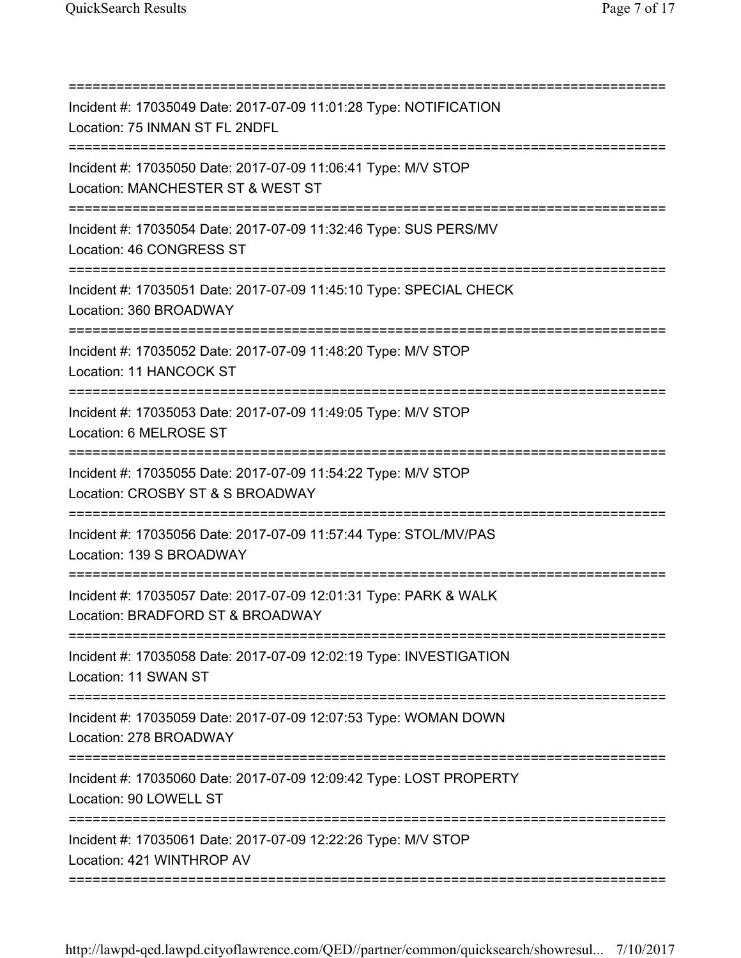| Incident #: 17035049 Date: 2017-07-09 11:01:28 Type: NOTIFICATION<br>Location: 75 INMAN ST FL 2NDFL                               |
|-----------------------------------------------------------------------------------------------------------------------------------|
| Incident #: 17035050 Date: 2017-07-09 11:06:41 Type: M/V STOP<br>Location: MANCHESTER ST & WEST ST                                |
| Incident #: 17035054 Date: 2017-07-09 11:32:46 Type: SUS PERS/MV<br>Location: 46 CONGRESS ST<br>:================================ |
| Incident #: 17035051 Date: 2017-07-09 11:45:10 Type: SPECIAL CHECK<br>Location: 360 BROADWAY<br>===============================   |
| Incident #: 17035052 Date: 2017-07-09 11:48:20 Type: M/V STOP<br>Location: 11 HANCOCK ST                                          |
| Incident #: 17035053 Date: 2017-07-09 11:49:05 Type: M/V STOP<br>Location: 6 MELROSE ST                                           |
| Incident #: 17035055 Date: 2017-07-09 11:54:22 Type: M/V STOP<br>Location: CROSBY ST & S BROADWAY                                 |
| Incident #: 17035056 Date: 2017-07-09 11:57:44 Type: STOL/MV/PAS<br>Location: 139 S BROADWAY<br>====================              |
| Incident #: 17035057 Date: 2017-07-09 12:01:31 Type: PARK & WALK<br>Location: BRADFORD ST & BROADWAY                              |
| Incident #: 17035058 Date: 2017-07-09 12:02:19 Type: INVESTIGATION<br>Location: 11 SWAN ST                                        |
| Incident #: 17035059 Date: 2017-07-09 12:07:53 Type: WOMAN DOWN<br>Location: 278 BROADWAY                                         |
| Incident #: 17035060 Date: 2017-07-09 12:09:42 Type: LOST PROPERTY<br>Location: 90 LOWELL ST                                      |
| Incident #: 17035061 Date: 2017-07-09 12:22:26 Type: M/V STOP<br>Location: 421 WINTHROP AV                                        |
|                                                                                                                                   |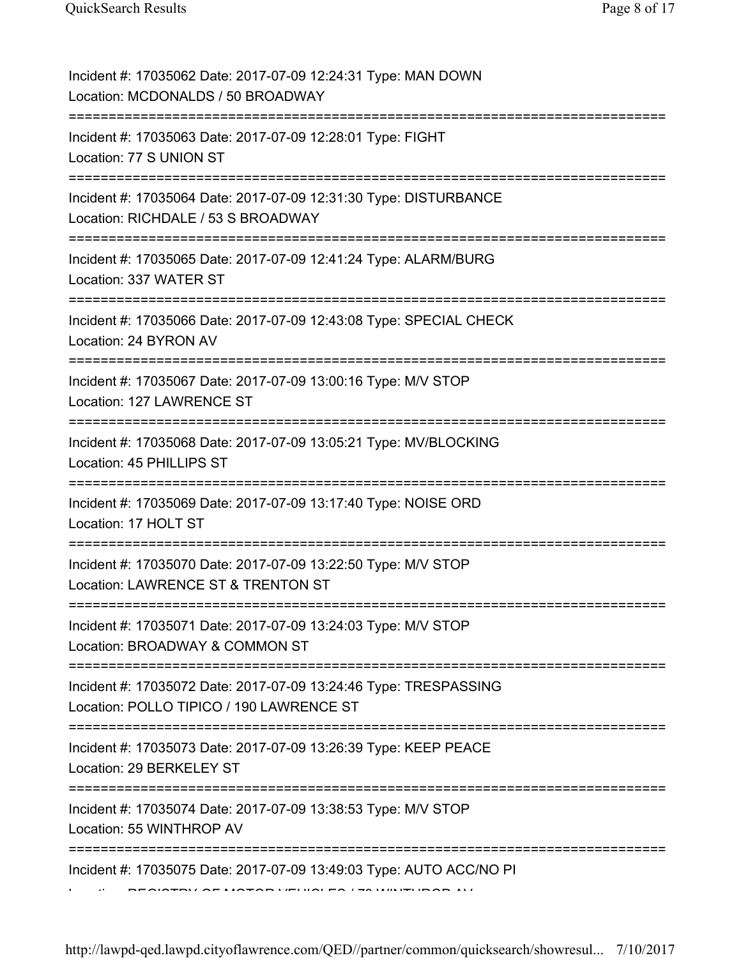| Incident #: 17035062 Date: 2017-07-09 12:24:31 Type: MAN DOWN<br>Location: MCDONALDS / 50 BROADWAY                                      |
|-----------------------------------------------------------------------------------------------------------------------------------------|
| Incident #: 17035063 Date: 2017-07-09 12:28:01 Type: FIGHT<br>Location: 77 S UNION ST                                                   |
| Incident #: 17035064 Date: 2017-07-09 12:31:30 Type: DISTURBANCE<br>Location: RICHDALE / 53 S BROADWAY<br>============================= |
| Incident #: 17035065 Date: 2017-07-09 12:41:24 Type: ALARM/BURG<br>Location: 337 WATER ST                                               |
| Incident #: 17035066 Date: 2017-07-09 12:43:08 Type: SPECIAL CHECK<br>Location: 24 BYRON AV<br>===========================              |
| Incident #: 17035067 Date: 2017-07-09 13:00:16 Type: M/V STOP<br>Location: 127 LAWRENCE ST                                              |
| Incident #: 17035068 Date: 2017-07-09 13:05:21 Type: MV/BLOCKING<br>Location: 45 PHILLIPS ST                                            |
| Incident #: 17035069 Date: 2017-07-09 13:17:40 Type: NOISE ORD<br>Location: 17 HOLT ST                                                  |
| Incident #: 17035070 Date: 2017-07-09 13:22:50 Type: M/V STOP<br>Location: LAWRENCE ST & TRENTON ST                                     |
| Incident #: 17035071 Date: 2017-07-09 13:24:03 Type: M/V STOP<br>Location: BROADWAY & COMMON ST                                         |
| ==============<br>Incident #: 17035072 Date: 2017-07-09 13:24:46 Type: TRESPASSING<br>Location: POLLO TIPICO / 190 LAWRENCE ST          |
| Incident #: 17035073 Date: 2017-07-09 13:26:39 Type: KEEP PEACE<br>Location: 29 BERKELEY ST                                             |
| Incident #: 17035074 Date: 2017-07-09 13:38:53 Type: M/V STOP<br>Location: 55 WINTHROP AV                                               |
| Incident #: 17035075 Date: 2017-07-09 13:49:03 Type: AUTO ACC/NO PI                                                                     |

http://lawpd-qed.lawpd.cityoflawrence.com/QED//partner/common/quicksearch/showresul... 7/10/2017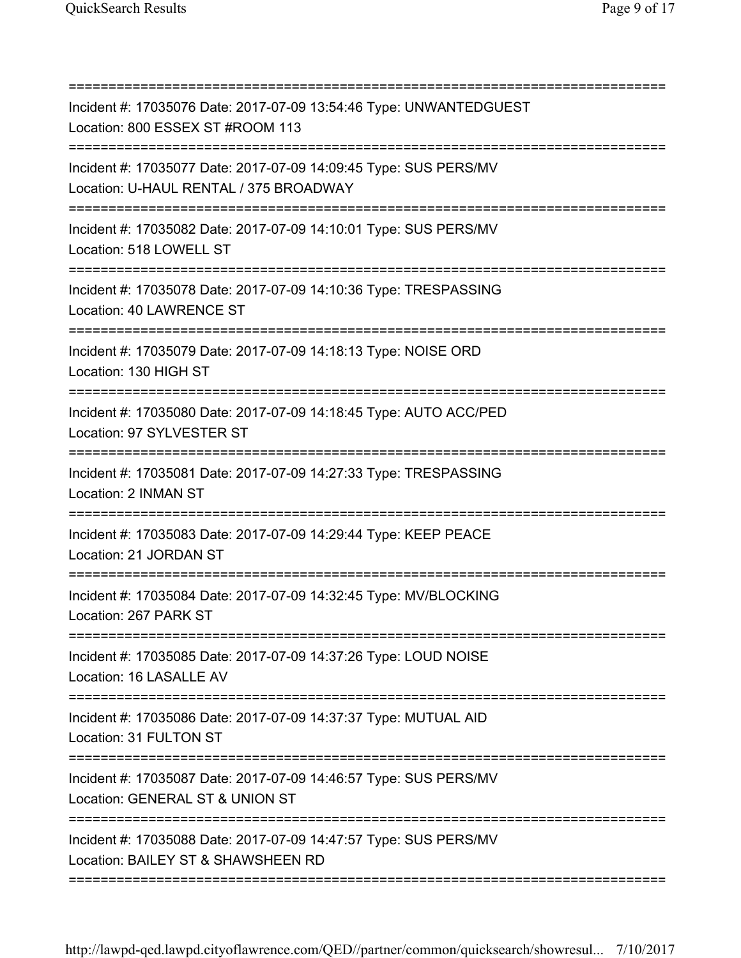| Incident #: 17035076 Date: 2017-07-09 13:54:46 Type: UNWANTEDGUEST<br>Location: 800 ESSEX ST #ROOM 113<br>============================               |
|------------------------------------------------------------------------------------------------------------------------------------------------------|
| Incident #: 17035077 Date: 2017-07-09 14:09:45 Type: SUS PERS/MV<br>Location: U-HAUL RENTAL / 375 BROADWAY<br>====================================== |
| Incident #: 17035082 Date: 2017-07-09 14:10:01 Type: SUS PERS/MV<br>Location: 518 LOWELL ST                                                          |
| Incident #: 17035078 Date: 2017-07-09 14:10:36 Type: TRESPASSING<br>Location: 40 LAWRENCE ST                                                         |
| Incident #: 17035079 Date: 2017-07-09 14:18:13 Type: NOISE ORD<br>Location: 130 HIGH ST                                                              |
| Incident #: 17035080 Date: 2017-07-09 14:18:45 Type: AUTO ACC/PED<br>Location: 97 SYLVESTER ST                                                       |
| Incident #: 17035081 Date: 2017-07-09 14:27:33 Type: TRESPASSING<br>Location: 2 INMAN ST                                                             |
| Incident #: 17035083 Date: 2017-07-09 14:29:44 Type: KEEP PEACE<br>Location: 21 JORDAN ST                                                            |
| Incident #: 17035084 Date: 2017-07-09 14:32:45 Type: MV/BLOCKING<br>Location: 267 PARK ST                                                            |
| Incident #: 17035085 Date: 2017-07-09 14:37:26 Type: LOUD NOISE<br>Location: 16 LASALLE AV                                                           |
| Incident #: 17035086 Date: 2017-07-09 14:37:37 Type: MUTUAL AID<br>Location: 31 FULTON ST                                                            |
| Incident #: 17035087 Date: 2017-07-09 14:46:57 Type: SUS PERS/MV<br>Location: GENERAL ST & UNION ST                                                  |
| Incident #: 17035088 Date: 2017-07-09 14:47:57 Type: SUS PERS/MV<br>Location: BAILEY ST & SHAWSHEEN RD                                               |

===========================================================================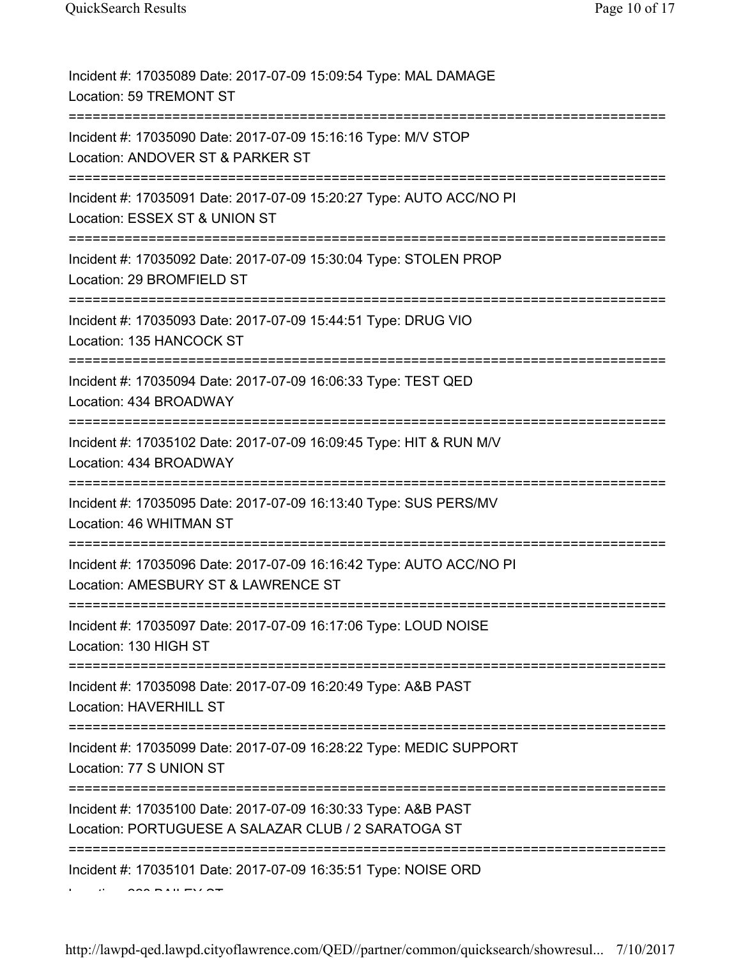| Incident #: 17035089 Date: 2017-07-09 15:09:54 Type: MAL DAMAGE<br>Location: 59 TREMONT ST                                       |
|----------------------------------------------------------------------------------------------------------------------------------|
| Incident #: 17035090 Date: 2017-07-09 15:16:16 Type: M/V STOP<br>Location: ANDOVER ST & PARKER ST                                |
| Incident #: 17035091 Date: 2017-07-09 15:20:27 Type: AUTO ACC/NO PI<br>Location: ESSEX ST & UNION ST                             |
| Incident #: 17035092 Date: 2017-07-09 15:30:04 Type: STOLEN PROP<br>Location: 29 BROMFIELD ST                                    |
| Incident #: 17035093 Date: 2017-07-09 15:44:51 Type: DRUG VIO<br>Location: 135 HANCOCK ST<br>=================================== |
| Incident #: 17035094 Date: 2017-07-09 16:06:33 Type: TEST QED<br>Location: 434 BROADWAY                                          |
| Incident #: 17035102 Date: 2017-07-09 16:09:45 Type: HIT & RUN M/V<br>Location: 434 BROADWAY                                     |
| Incident #: 17035095 Date: 2017-07-09 16:13:40 Type: SUS PERS/MV<br>Location: 46 WHITMAN ST                                      |
| Incident #: 17035096 Date: 2017-07-09 16:16:42 Type: AUTO ACC/NO PI<br>Location: AMESBURY ST & LAWRENCE ST                       |
| Incident #: 17035097 Date: 2017-07-09 16:17:06 Type: LOUD NOISE<br>Location: 130 HIGH ST                                         |
| Incident #: 17035098 Date: 2017-07-09 16:20:49 Type: A&B PAST<br>Location: HAVERHILL ST                                          |
| Incident #: 17035099 Date: 2017-07-09 16:28:22 Type: MEDIC SUPPORT<br>Location: 77 S UNION ST                                    |
| Incident #: 17035100 Date: 2017-07-09 16:30:33 Type: A&B PAST<br>Location: PORTUGUESE A SALAZAR CLUB / 2 SARATOGA ST             |
| Incident #: 17035101 Date: 2017-07-09 16:35:51 Type: NOISE ORD                                                                   |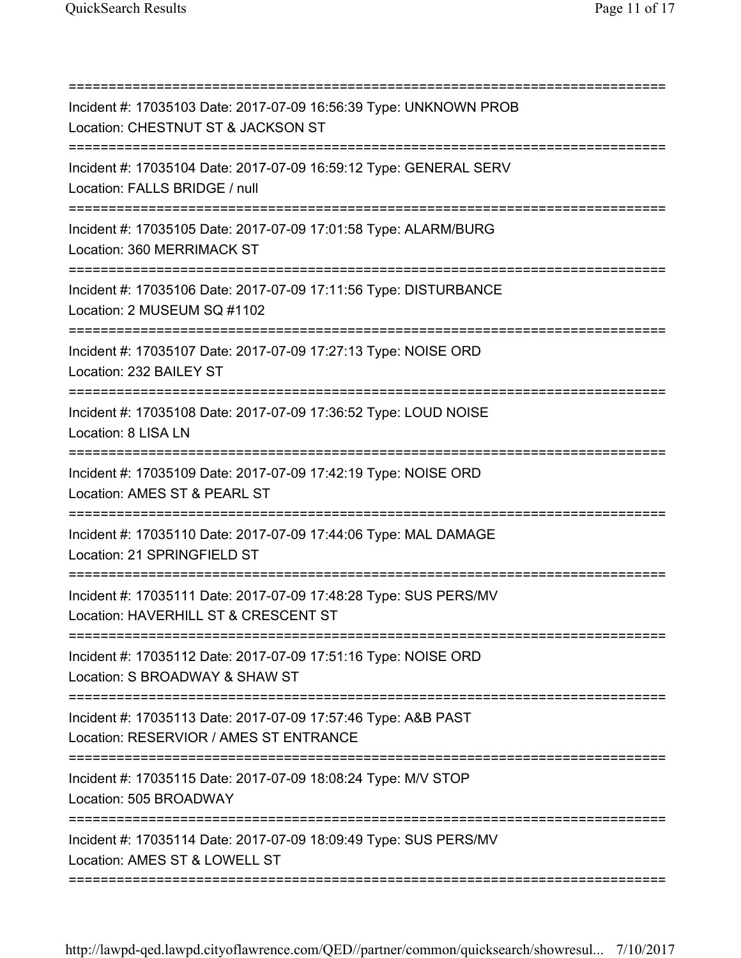| ===================================== |                                                                                                          |
|---------------------------------------|----------------------------------------------------------------------------------------------------------|
|                                       | Incident #: 17035103 Date: 2017-07-09 16:56:39 Type: UNKNOWN PROB<br>Location: CHESTNUT ST & JACKSON ST  |
|                                       | Incident #: 17035104 Date: 2017-07-09 16:59:12 Type: GENERAL SERV<br>Location: FALLS BRIDGE / null       |
|                                       | Incident #: 17035105 Date: 2017-07-09 17:01:58 Type: ALARM/BURG<br>Location: 360 MERRIMACK ST            |
|                                       | Incident #: 17035106 Date: 2017-07-09 17:11:56 Type: DISTURBANCE<br>Location: 2 MUSEUM SQ #1102          |
|                                       | Incident #: 17035107 Date: 2017-07-09 17:27:13 Type: NOISE ORD<br>Location: 232 BAILEY ST                |
|                                       | Incident #: 17035108 Date: 2017-07-09 17:36:52 Type: LOUD NOISE<br>Location: 8 LISA LN                   |
|                                       | Incident #: 17035109 Date: 2017-07-09 17:42:19 Type: NOISE ORD<br>Location: AMES ST & PEARL ST           |
|                                       | Incident #: 17035110 Date: 2017-07-09 17:44:06 Type: MAL DAMAGE<br>Location: 21 SPRINGFIELD ST           |
|                                       | Incident #: 17035111 Date: 2017-07-09 17:48:28 Type: SUS PERS/MV<br>Location: HAVERHILL ST & CRESCENT ST |
|                                       | Incident #: 17035112 Date: 2017-07-09 17:51:16 Type: NOISE ORD<br>Location: S BROADWAY & SHAW ST         |
|                                       | Incident #: 17035113 Date: 2017-07-09 17:57:46 Type: A&B PAST<br>Location: RESERVIOR / AMES ST ENTRANCE  |
|                                       | Incident #: 17035115 Date: 2017-07-09 18:08:24 Type: M/V STOP<br>Location: 505 BROADWAY                  |
|                                       | Incident #: 17035114 Date: 2017-07-09 18:09:49 Type: SUS PERS/MV<br>Location: AMES ST & LOWELL ST        |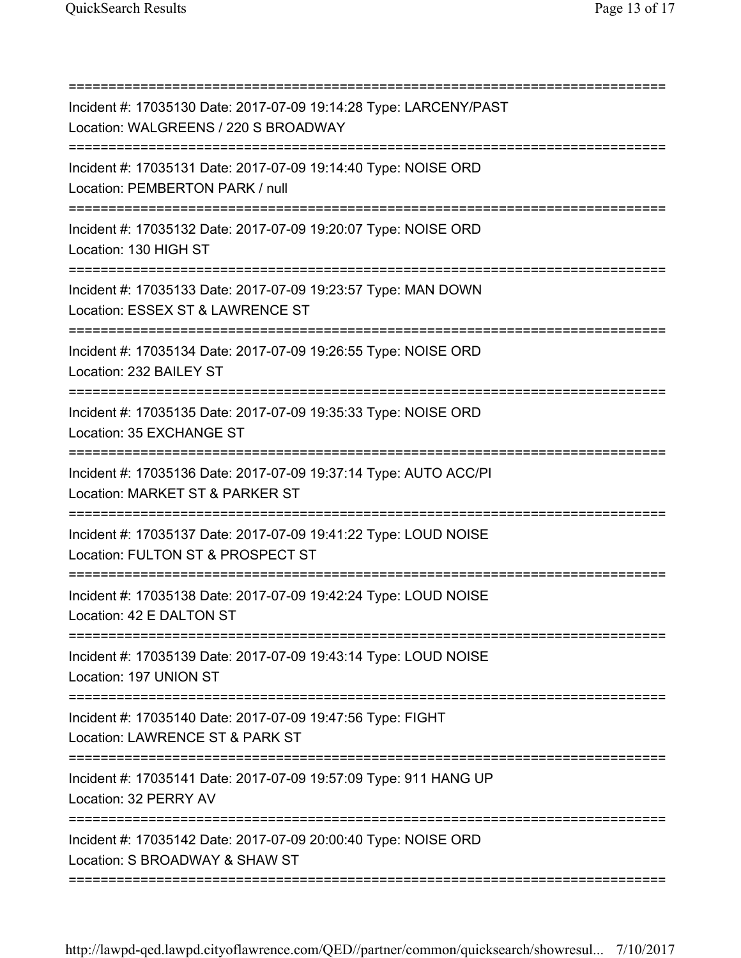| Incident #: 17035130 Date: 2017-07-09 19:14:28 Type: LARCENY/PAST<br>Location: WALGREENS / 220 S BROADWAY<br>;=================================== |
|---------------------------------------------------------------------------------------------------------------------------------------------------|
| Incident #: 17035131 Date: 2017-07-09 19:14:40 Type: NOISE ORD<br>Location: PEMBERTON PARK / null                                                 |
| Incident #: 17035132 Date: 2017-07-09 19:20:07 Type: NOISE ORD<br>Location: 130 HIGH ST                                                           |
| Incident #: 17035133 Date: 2017-07-09 19:23:57 Type: MAN DOWN<br>Location: ESSEX ST & LAWRENCE ST                                                 |
| Incident #: 17035134 Date: 2017-07-09 19:26:55 Type: NOISE ORD<br>Location: 232 BAILEY ST                                                         |
| Incident #: 17035135 Date: 2017-07-09 19:35:33 Type: NOISE ORD<br>Location: 35 EXCHANGE ST                                                        |
| Incident #: 17035136 Date: 2017-07-09 19:37:14 Type: AUTO ACC/PI<br>Location: MARKET ST & PARKER ST                                               |
| Incident #: 17035137 Date: 2017-07-09 19:41:22 Type: LOUD NOISE<br>Location: FULTON ST & PROSPECT ST                                              |
| Incident #: 17035138 Date: 2017-07-09 19:42:24 Type: LOUD NOISE<br>Location: 42 E DALTON ST                                                       |
| Incident #: 17035139 Date: 2017-07-09 19:43:14 Type: LOUD NOISE<br>Location: 197 UNION ST                                                         |
| -------------------<br>Incident #: 17035140 Date: 2017-07-09 19:47:56 Type: FIGHT<br>Location: LAWRENCE ST & PARK ST                              |
| Incident #: 17035141 Date: 2017-07-09 19:57:09 Type: 911 HANG UP<br>Location: 32 PERRY AV                                                         |
| Incident #: 17035142 Date: 2017-07-09 20:00:40 Type: NOISE ORD<br>Location: S BROADWAY & SHAW ST                                                  |
|                                                                                                                                                   |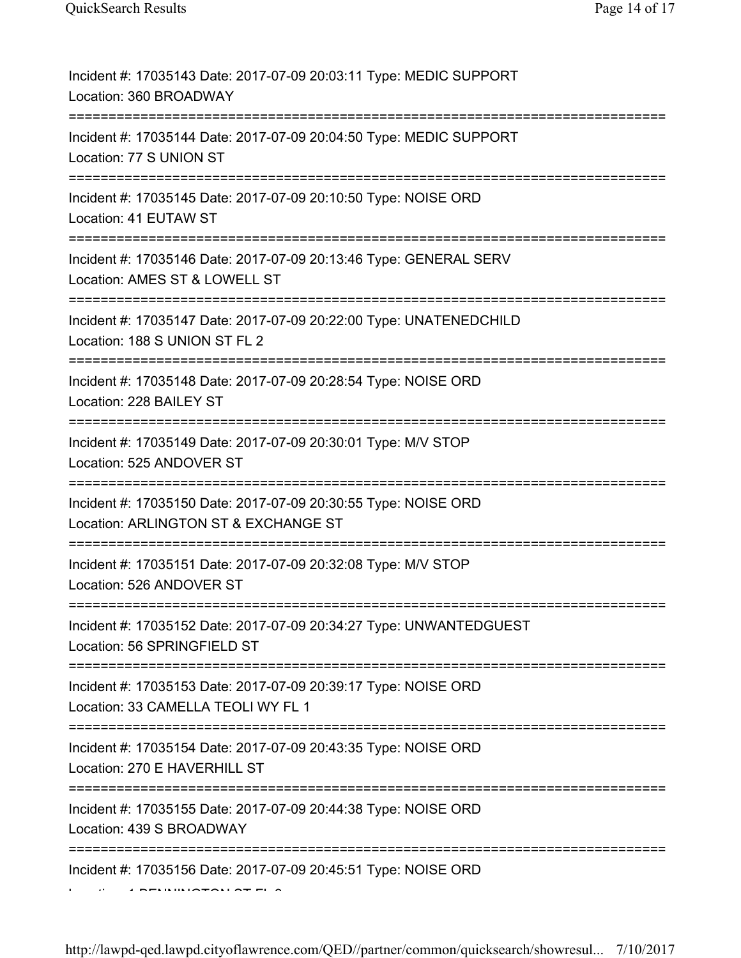| Incident #: 17035143 Date: 2017-07-09 20:03:11 Type: MEDIC SUPPORT<br>Location: 360 BROADWAY                                 |
|------------------------------------------------------------------------------------------------------------------------------|
| Incident #: 17035144 Date: 2017-07-09 20:04:50 Type: MEDIC SUPPORT<br>Location: 77 S UNION ST                                |
| Incident #: 17035145 Date: 2017-07-09 20:10:50 Type: NOISE ORD<br>Location: 41 EUTAW ST                                      |
| Incident #: 17035146 Date: 2017-07-09 20:13:46 Type: GENERAL SERV<br>Location: AMES ST & LOWELL ST                           |
| Incident #: 17035147 Date: 2017-07-09 20:22:00 Type: UNATENEDCHILD<br>Location: 188 S UNION ST FL 2<br>===================== |
| Incident #: 17035148 Date: 2017-07-09 20:28:54 Type: NOISE ORD<br>Location: 228 BAILEY ST                                    |
| Incident #: 17035149 Date: 2017-07-09 20:30:01 Type: M/V STOP<br>Location: 525 ANDOVER ST                                    |
| Incident #: 17035150 Date: 2017-07-09 20:30:55 Type: NOISE ORD<br>Location: ARLINGTON ST & EXCHANGE ST                       |
| Incident #: 17035151 Date: 2017-07-09 20:32:08 Type: M/V STOP<br>Location: 526 ANDOVER ST                                    |
| Incident #: 17035152 Date: 2017-07-09 20:34:27 Type: UNWANTEDGUEST<br>Location: 56 SPRINGFIELD ST                            |
| Incident #: 17035153 Date: 2017-07-09 20:39:17 Type: NOISE ORD<br>Location: 33 CAMELLA TEOLI WY FL 1                         |
| Incident #: 17035154 Date: 2017-07-09 20:43:35 Type: NOISE ORD<br>Location: 270 E HAVERHILL ST                               |
| Incident #: 17035155 Date: 2017-07-09 20:44:38 Type: NOISE ORD<br>Location: 439 S BROADWAY                                   |
| Incident #: 17035156 Date: 2017-07-09 20:45:51 Type: NOISE ORD                                                               |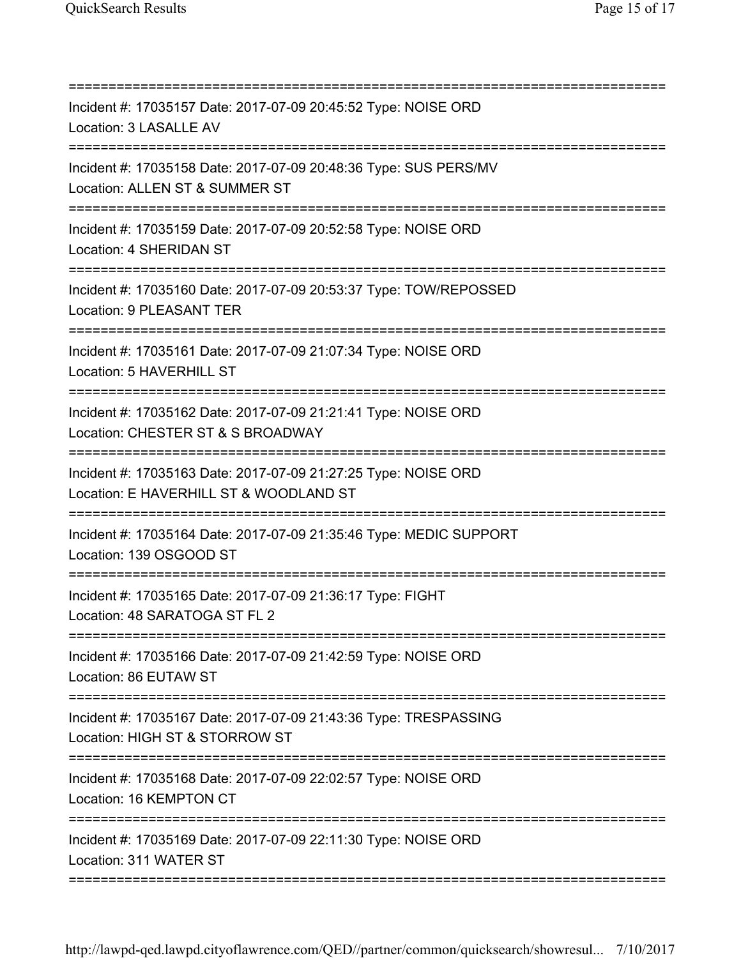| Incident #: 17035157 Date: 2017-07-09 20:45:52 Type: NOISE ORD<br>Location: 3 LASALLE AV<br>;==================================== |
|-----------------------------------------------------------------------------------------------------------------------------------|
| Incident #: 17035158 Date: 2017-07-09 20:48:36 Type: SUS PERS/MV<br>Location: ALLEN ST & SUMMER ST                                |
| Incident #: 17035159 Date: 2017-07-09 20:52:58 Type: NOISE ORD<br>Location: 4 SHERIDAN ST                                         |
| Incident #: 17035160 Date: 2017-07-09 20:53:37 Type: TOW/REPOSSED<br>Location: 9 PLEASANT TER                                     |
| Incident #: 17035161 Date: 2017-07-09 21:07:34 Type: NOISE ORD<br>Location: 5 HAVERHILL ST                                        |
| Incident #: 17035162 Date: 2017-07-09 21:21:41 Type: NOISE ORD<br>Location: CHESTER ST & S BROADWAY                               |
| Incident #: 17035163 Date: 2017-07-09 21:27:25 Type: NOISE ORD<br>Location: E HAVERHILL ST & WOODLAND ST                          |
| Incident #: 17035164 Date: 2017-07-09 21:35:46 Type: MEDIC SUPPORT<br>Location: 139 OSGOOD ST                                     |
| Incident #: 17035165 Date: 2017-07-09 21:36:17 Type: FIGHT<br>Location: 48 SARATOGA ST FL 2                                       |
| Incident #: 17035166 Date: 2017-07-09 21:42:59 Type: NOISE ORD<br>Location: 86 EUTAW ST                                           |
| Incident #: 17035167 Date: 2017-07-09 21:43:36 Type: TRESPASSING<br>Location: HIGH ST & STORROW ST                                |
| Incident #: 17035168 Date: 2017-07-09 22:02:57 Type: NOISE ORD<br>Location: 16 KEMPTON CT                                         |
| _____________________________________<br>Incident #: 17035169 Date: 2017-07-09 22:11:30 Type: NOISE ORD<br>Location: 311 WATER ST |
|                                                                                                                                   |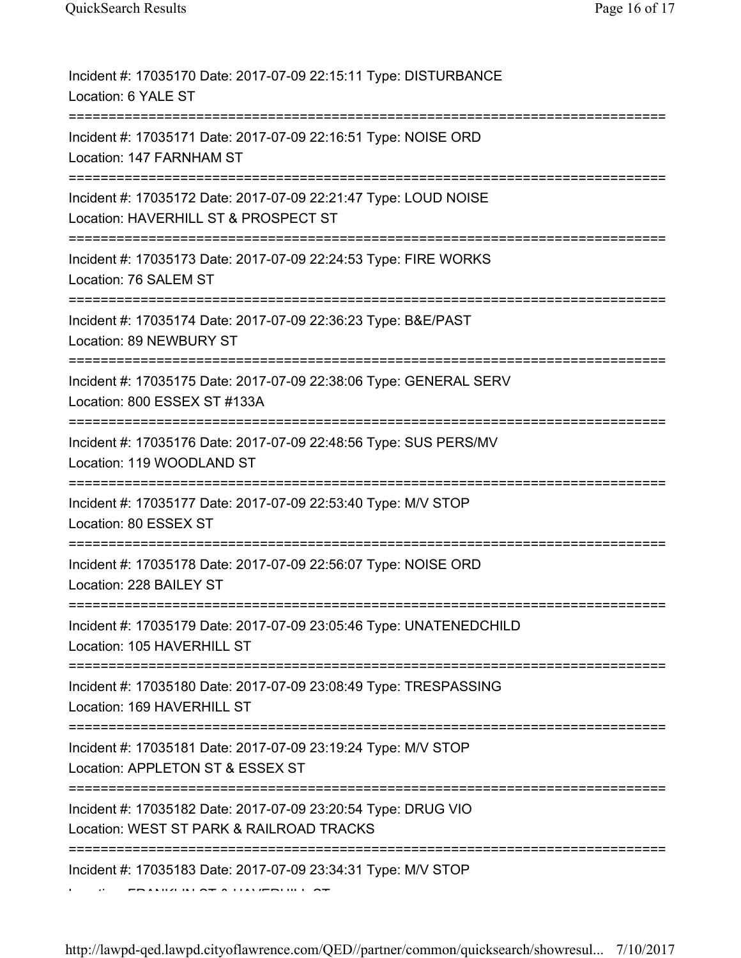| Incident #: 17035170 Date: 2017-07-09 22:15:11 Type: DISTURBANCE<br>Location: 6 YALE ST<br>================================   |
|-------------------------------------------------------------------------------------------------------------------------------|
| Incident #: 17035171 Date: 2017-07-09 22:16:51 Type: NOISE ORD<br>Location: 147 FARNHAM ST<br>-----------                     |
| Incident #: 17035172 Date: 2017-07-09 22:21:47 Type: LOUD NOISE<br>Location: HAVERHILL ST & PROSPECT ST                       |
| Incident #: 17035173 Date: 2017-07-09 22:24:53 Type: FIRE WORKS<br>Location: 76 SALEM ST                                      |
| Incident #: 17035174 Date: 2017-07-09 22:36:23 Type: B&E/PAST<br>Location: 89 NEWBURY ST<br>:================================ |
| Incident #: 17035175 Date: 2017-07-09 22:38:06 Type: GENERAL SERV<br>Location: 800 ESSEX ST #133A                             |
| Incident #: 17035176 Date: 2017-07-09 22:48:56 Type: SUS PERS/MV<br>Location: 119 WOODLAND ST                                 |
| Incident #: 17035177 Date: 2017-07-09 22:53:40 Type: M/V STOP<br>Location: 80 ESSEX ST                                        |
| Incident #: 17035178 Date: 2017-07-09 22:56:07 Type: NOISE ORD<br>Location: 228 BAILEY ST                                     |
| Incident #: 17035179 Date: 2017-07-09 23:05:46 Type: UNATENEDCHILD<br>Location: 105 HAVERHILL ST                              |
| Incident #: 17035180 Date: 2017-07-09 23:08:49 Type: TRESPASSING<br>Location: 169 HAVERHILL ST                                |
| Incident #: 17035181 Date: 2017-07-09 23:19:24 Type: M/V STOP<br>Location: APPLETON ST & ESSEX ST                             |
| Incident #: 17035182 Date: 2017-07-09 23:20:54 Type: DRUG VIO<br>Location: WEST ST PARK & RAILROAD TRACKS                     |
| Incident #: 17035183 Date: 2017-07-09 23:34:31 Type: M/V STOP                                                                 |
|                                                                                                                               |